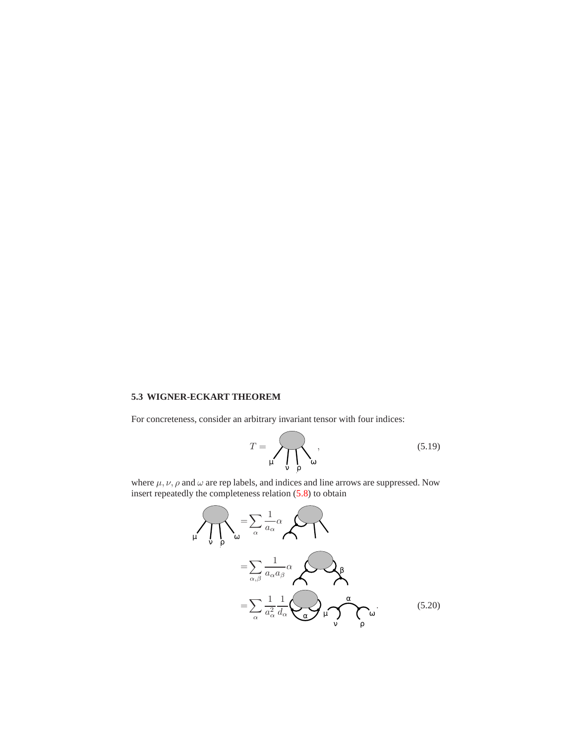## **5.3 WIGNER-ECKART THEOREM**

For concreteness, consider an arbitrary invariant tensor with four indices:

$$
T = \bigcap_{\mu} \bigcap_{\nu} \bigcap_{\rho} \tag{5.19}
$$

where  $\mu, \nu, \rho$  and  $\omega$  are rep labels, and indices and line arrows are suppressed. Now insert repeatedly the completeness relation (5.8) to obtain

$$
\mathbf{u} = \sum_{\alpha} \frac{1}{a_{\alpha}} \alpha \sum_{\alpha \in \mathcal{A}} \alpha \sum_{\alpha \in \mathcal{A}} \beta \sum_{\alpha \in \mathcal{A}} \beta \sum_{\alpha \in \mathcal{A}} \beta \sum_{\alpha \in \mathcal{A}} \beta \sum_{\alpha \in \mathcal{A}} \beta \sum_{\alpha \in \mathcal{A}} \beta \sum_{\alpha \in \mathcal{A}} \beta \sum_{\alpha \in \mathcal{A}} \beta \sum_{\beta \in \mathcal{A}} \gamma \sum_{\beta \in \mathcal{A}} \gamma \quad (5.20)
$$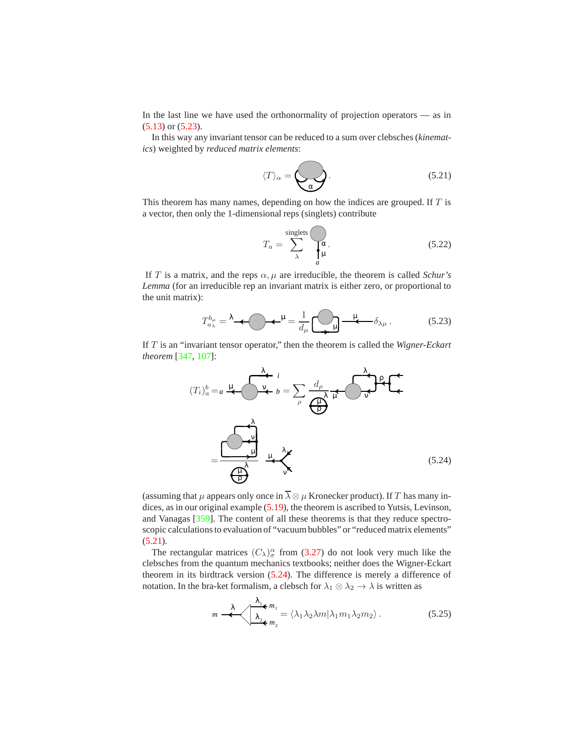In the last line we have used the orthonormality of projection operators — as in  $(5.13)$  or  $(5.23)$ .

In this way any invariant tensor can be reduced to a sum over clebsches (*kinematics*) weighted by *reduced matrix elements*:

$$
\langle T \rangle_{\alpha} = \left\langle \bigotimes_{\alpha} \right\rangle. \tag{5.21}
$$

This theorem has many names, depending on how the indices are grouped. If T is a vector, then only the 1-dimensional reps (singlets) contribute

$$
T_a = \sum_{\lambda}^{\text{singlets}} \bigvee_{a}.
$$
 (5.22)

If T is a matrix, and the reps  $\alpha$ ,  $\mu$  are irreducible, the theorem is called *Schur's Lemma* (for an irreducible rep an invariant matrix is either zero, or proportional to the unit matrix):

$$
T_{a_{\lambda}}^{b_{\mu}} = \lambda \longrightarrow \longrightarrow^{\mu} \longrightarrow^{\mu} \longrightarrow^{\mu} \longrightarrow^{\mu} \longrightarrow^{\mu} \longrightarrow^{\delta} \lambda_{\mu}.
$$
 (5.23)

If T is an "invariant tensor operator," then the theorem is called the *Wigner-Eckart theorem* [347, 107]:

$$
(T_i)_a^b = a \stackrel{\mu}{\longrightarrow} \frac{\lambda}{\lambda} \quad i
$$
\n
$$
= \frac{\lambda}{\mu} \quad \frac{\lambda}{\mu} \quad \frac{d_\rho}{\mu} \quad \frac{\lambda}{\mu} \quad \frac{\mu}{\lambda} \quad \frac{\lambda}{\mu} \quad \frac{\mu}{\lambda} \quad \frac{\lambda}{\mu} \quad \frac{\mu}{\lambda} \quad \frac{\lambda}{\lambda} \quad \frac{\mu}{\lambda} \quad \frac{\lambda}{\lambda} \quad \frac{\mu}{\lambda} \quad \frac{\lambda}{\lambda} \quad \frac{\mu}{\lambda} \quad \frac{\lambda}{\lambda} \quad \frac{\mu}{\lambda} \quad \frac{\lambda}{\lambda} \quad \frac{\mu}{\lambda} \quad \frac{\lambda}{\lambda} \quad \frac{\mu}{\lambda} \quad \frac{\lambda}{\lambda} \quad \frac{\mu}{\lambda} \quad \frac{\lambda}{\lambda} \quad \frac{\mu}{\lambda} \quad \frac{\lambda}{\lambda} \quad \frac{\mu}{\lambda} \quad \frac{\lambda}{\lambda} \quad \frac{\mu}{\lambda} \quad \frac{\lambda}{\lambda} \quad \frac{\mu}{\lambda} \quad \frac{\lambda}{\lambda} \quad \frac{\mu}{\lambda} \quad \frac{\lambda}{\lambda} \quad \frac{\mu}{\lambda} \quad \frac{\lambda}{\lambda} \quad \frac{\mu}{\lambda} \quad \frac{\lambda}{\lambda} \quad \frac{\mu}{\lambda} \quad \frac{\lambda}{\lambda} \quad \frac{\mu}{\lambda} \quad \frac{\lambda}{\lambda} \quad \frac{\mu}{\lambda} \quad \frac{\lambda}{\lambda} \quad \frac{\mu}{\lambda} \quad \frac{\lambda}{\lambda} \quad \frac{\mu}{\lambda} \quad \frac{\lambda}{\lambda} \quad \frac{\mu}{\lambda} \quad \frac{\lambda}{\lambda} \quad \frac{\mu}{\lambda} \quad \frac{\lambda}{\lambda} \quad \frac{\mu}{\lambda} \quad \frac{\lambda}{\lambda} \quad \frac{\mu}{\lambda} \quad \frac{\lambda}{\lambda} \quad \frac{\mu}{\lambda} \quad \frac{\lambda}{\lambda} \quad \frac{\mu}{\lambda} \quad \frac{\lambda}{\lambda} \quad \frac{\lambda}{\lambda} \quad \frac{\mu}{\lambda} \quad \frac{\lambda}{\lambda} \quad \frac{\lambda}{\lambda} \quad \frac{\lambda}{\lambda} \quad \frac{\lambda}{\lambda} \quad \frac{\lambda}{\lambda} \quad \frac{\lambda}{\lambda} \quad \frac{\lambda}{\lambda} \quad \frac{\lambda}{\lambda} \quad \frac{\lambda}{\lambda} \quad \frac{\lambda}{\lambda}
$$

(assuming that  $\mu$  appears only once in  $\overline{\lambda} \otimes \mu$  Kronecker product). If T has many indices, as in our original example (5.19), the theorem is ascribed to Yutsis, Levinson, and Vanagas [359]. The content of all these theorems is that they reduce spectroscopic calculations to evaluation of "vacuum bubbles" or "reduced matrix elements"  $(5.21).$ 

The rectangular matrices  $(C_{\lambda})^{\alpha}_{\sigma}$  from (3.27) do not look very much like the clebsches from the quantum mechanics textbooks; neither does the Wigner-Eckart theorem in its birdtrack version (5.24). The difference is merely a difference of notation. In the bra-ket formalism, a clebsch for  $\lambda_1 \otimes \lambda_2 \rightarrow \lambda$  is written as

$$
m \stackrel{\lambda}{\longrightarrow} \left(\frac{\lambda_1}{\lambda_2 \lambda_1 m_1} m_1 \lambda_2 \lambda_1 m_1 \lambda_2 m_2 \right). \tag{5.25}
$$